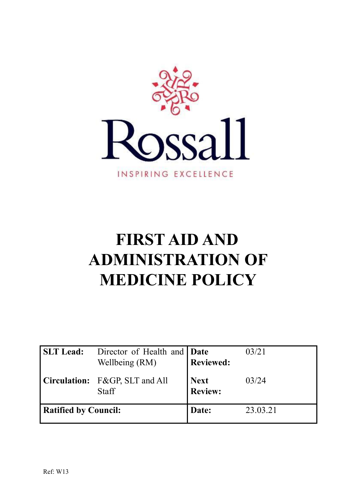

# **FIRST AID AND ADMINISTRATION OF MEDICINE POLICY**

| <b>SLT</b> Lead:            | Director of Health and <b>Date</b><br>Wellbeing (RM) | <b>Reviewed:</b>              | 03/21    |
|-----------------------------|------------------------------------------------------|-------------------------------|----------|
|                             | Circulation: F&GP, SLT and All<br><b>Staff</b>       | <b>Next</b><br><b>Review:</b> | 03/24    |
| <b>Ratified by Council:</b> |                                                      | Date:                         | 23.03.21 |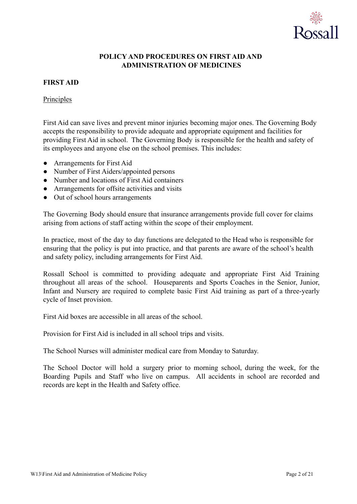

# **POLICY AND PROCEDURES ON FIRST AID AND ADMINISTRATION OF MEDICINES**

# **FIRST AID**

# **Principles**

First Aid can save lives and prevent minor injuries becoming major ones. The Governing Body accepts the responsibility to provide adequate and appropriate equipment and facilities for providing First Aid in school. The Governing Body is responsible for the health and safety of its employees and anyone else on the school premises. This includes:

- Arrangements for First Aid
- Number of First Aiders/appointed persons
- Number and locations of First Aid containers
- Arrangements for offsite activities and visits
- Out of school hours arrangements

The Governing Body should ensure that insurance arrangements provide full cover for claims arising from actions of staff acting within the scope of their employment.

In practice, most of the day to day functions are delegated to the Head who is responsible for ensuring that the policy is put into practice, and that parents are aware of the school's health and safety policy, including arrangements for First Aid.

Rossall School is committed to providing adequate and appropriate First Aid Training throughout all areas of the school. Houseparents and Sports Coaches in the Senior, Junior, Infant and Nursery are required to complete basic First Aid training as part of a three-yearly cycle of Inset provision.

First Aid boxes are accessible in all areas of the school.

Provision for First Aid is included in all school trips and visits.

The School Nurses will administer medical care from Monday to Saturday.

The School Doctor will hold a surgery prior to morning school, during the week, for the Boarding Pupils and Staff who live on campus. All accidents in school are recorded and records are kept in the Health and Safety office.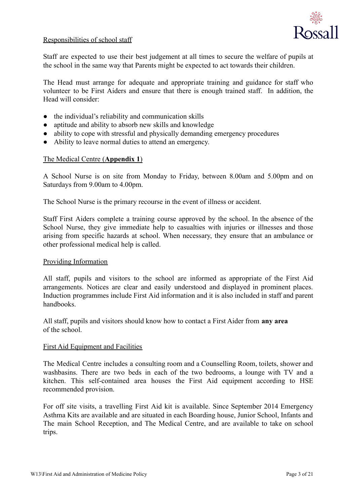

# Responsibilities of school staff

Staff are expected to use their best judgement at all times to secure the welfare of pupils at the school in the same way that Parents might be expected to act towards their children.

The Head must arrange for adequate and appropriate training and guidance for staff who volunteer to be First Aiders and ensure that there is enough trained staff. In addition, the Head will consider:

- the individual's reliability and communication skills
- aptitude and ability to absorb new skills and knowledge
- ability to cope with stressful and physically demanding emergency procedures
- Ability to leave normal duties to attend an emergency.

# The Medical Centre (**Appendix 1**)

A School Nurse is on site from Monday to Friday, between 8.00am and 5.00pm and on Saturdays from 9.00am to 4.00pm.

The School Nurse is the primary recourse in the event of illness or accident.

Staff First Aiders complete a training course approved by the school. In the absence of the School Nurse, they give immediate help to casualties with injuries or illnesses and those arising from specific hazards at school. When necessary, they ensure that an ambulance or other professional medical help is called.

## Providing Information

All staff, pupils and visitors to the school are informed as appropriate of the First Aid arrangements. Notices are clear and easily understood and displayed in prominent places. Induction programmes include First Aid information and it is also included in staff and parent handbooks.

All staff, pupils and visitors should know how to contact a First Aider from **any area** of the school.

## First Aid Equipment and Facilities

The Medical Centre includes a consulting room and a Counselling Room, toilets, shower and washbasins. There are two beds in each of the two bedrooms, a lounge with TV and a kitchen. This self-contained area houses the First Aid equipment according to HSE recommended provision.

For off site visits, a travelling First Aid kit is available. Since September 2014 Emergency Asthma Kits are available and are situated in each Boarding house, Junior School, Infants and The main School Reception, and The Medical Centre, and are available to take on school trips.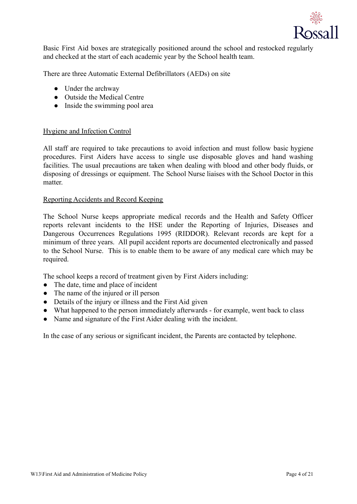

Basic First Aid boxes are strategically positioned around the school and restocked regularly and checked at the start of each academic year by the School health team.

There are three Automatic External Defibrillators (AEDs) on site

- Under the archway
- Outside the Medical Centre
- Inside the swimming pool area

# Hygiene and Infection Control

All staff are required to take precautions to avoid infection and must follow basic hygiene procedures. First Aiders have access to single use disposable gloves and hand washing facilities. The usual precautions are taken when dealing with blood and other body fluids, or disposing of dressings or equipment. The School Nurse liaises with the School Doctor in this matter.

# Reporting Accidents and Record Keeping

The School Nurse keeps appropriate medical records and the Health and Safety Officer reports relevant incidents to the HSE under the Reporting of Injuries, Diseases and Dangerous Occurrences Regulations 1995 (RIDDOR). Relevant records are kept for a minimum of three years. All pupil accident reports are documented electronically and passed to the School Nurse. This is to enable them to be aware of any medical care which may be required.

The school keeps a record of treatment given by First Aiders including:

- The date, time and place of incident
- The name of the injured or ill person
- Details of the injury or illness and the First Aid given
- What happened to the person immediately afterwards for example, went back to class
- Name and signature of the First Aider dealing with the incident.

In the case of any serious or significant incident, the Parents are contacted by telephone.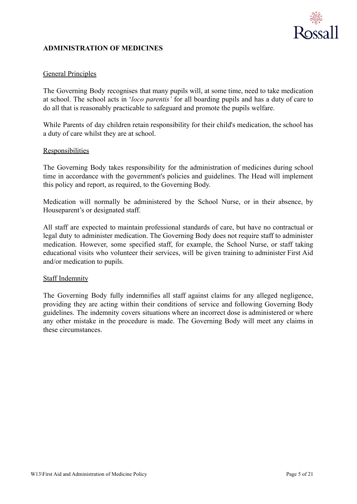

# **ADMINISTRATION OF MEDICINES**

# General Principles

The Governing Body recognises that many pupils will, at some time, need to take medication at school. The school acts in '*loco parentis'* for all boarding pupils and has a duty of care to do all that is reasonably practicable to safeguard and promote the pupils welfare.

While Parents of day children retain responsibility for their child's medication, the school has a duty of care whilst they are at school.

## **Responsibilities**

The Governing Body takes responsibility for the administration of medicines during school time in accordance with the government's policies and guidelines. The Head will implement this policy and report, as required, to the Governing Body.

Medication will normally be administered by the School Nurse, or in their absence, by Houseparent's or designated staff.

All staff are expected to maintain professional standards of care, but have no contractual or legal duty to administer medication. The Governing Body does not require staff to administer medication. However, some specified staff, for example, the School Nurse, or staff taking educational visits who volunteer their services, will be given training to administer First Aid and/or medication to pupils.

## Staff Indemnity

The Governing Body fully indemnifies all staff against claims for any alleged negligence, providing they are acting within their conditions of service and following Governing Body guidelines. The indemnity covers situations where an incorrect dose is administered or where any other mistake in the procedure is made. The Governing Body will meet any claims in these circumstances.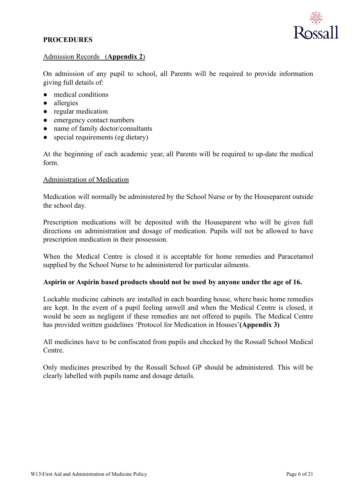# **PROCEDURES**



# Admission Records (**Appendix 2**)

On admission of any pupil to school, all Parents will be required to provide information giving full details of:

- medical conditions
- allergies
- regular medication
- emergency contact numbers
- name of family doctor/consultants
- special requirements (eg dietary)

At the beginning of each academic year, all Parents will be required to up-date the medical form.

# Administration of Medication

Medication will normally be administered by the School Nurse or by the Houseparent outside the school day.

Prescription medications will be deposited with the Houseparent who will be given full directions on administration and dosage of medication. Pupils will not be allowed to have prescription medication in their possession.

When the Medical Centre is closed it is acceptable for home remedies and Paracetamol supplied by the School Nurse to be administered for particular ailments.

# **Aspirin or Aspirin based products should not be used by anyone under the age of 16.**

Lockable medicine cabinets are installed in each boarding house, where basic home remedies are kept. In the event of a pupil feeling unwell and when the Medical Centre is closed, it would be seen as negligent if these remedies are not offered to pupils. The Medical Centre has provided written guidelines 'Protocol for Medication in Houses'**(Appendix 3)**

All medicines have to be confiscated from pupils and checked by the Rossall School Medical Centre.

Only medicines prescribed by the Rossall School GP should be administered. This will be clearly labelled with pupils name and dosage details.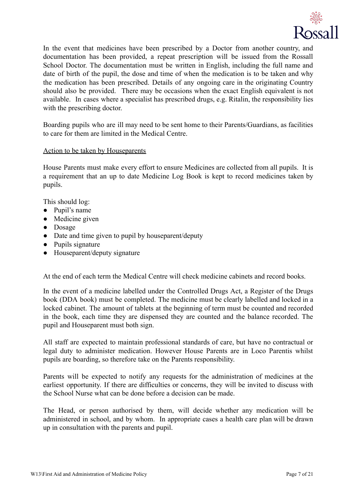

In the event that medicines have been prescribed by a Doctor from another country, and documentation has been provided, a repeat prescription will be issued from the Rossall School Doctor. The documentation must be written in English, including the full name and date of birth of the pupil, the dose and time of when the medication is to be taken and why the medication has been prescribed. Details of any ongoing care in the originating Country should also be provided. There may be occasions when the exact English equivalent is not available. In cases where a specialist has prescribed drugs, e.g. Ritalin, the responsibility lies with the prescribing doctor.

Boarding pupils who are ill may need to be sent home to their Parents/Guardians, as facilities to care for them are limited in the Medical Centre.

## Action to be taken by Houseparents

House Parents must make every effort to ensure Medicines are collected from all pupils. It is a requirement that an up to date Medicine Log Book is kept to record medicines taken by pupils.

This should log:

- Pupil's name
- Medicine given
- Dosage
- Date and time given to pupil by houseparent/deputy
- Pupils signature
- Houseparent/deputy signature

At the end of each term the Medical Centre will check medicine cabinets and record books.

In the event of a medicine labelled under the Controlled Drugs Act, a Register of the Drugs book (DDA book) must be completed. The medicine must be clearly labelled and locked in a locked cabinet. The amount of tablets at the beginning of term must be counted and recorded in the book, each time they are dispensed they are counted and the balance recorded. The pupil and Houseparent must both sign.

All staff are expected to maintain professional standards of care, but have no contractual or legal duty to administer medication. However House Parents are in Loco Parentis whilst pupils are boarding, so therefore take on the Parents responsibility.

Parents will be expected to notify any requests for the administration of medicines at the earliest opportunity. If there are difficulties or concerns, they will be invited to discuss with the School Nurse what can be done before a decision can be made.

The Head, or person authorised by them, will decide whether any medication will be administered in school, and by whom. In appropriate cases a health care plan will be drawn up in consultation with the parents and pupil.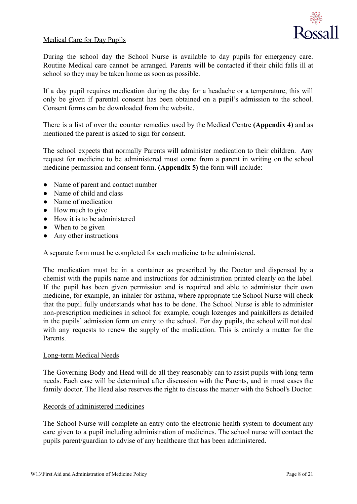

# Medical Care for Day Pupils

During the school day the School Nurse is available to day pupils for emergency care. Routine Medical care cannot be arranged. Parents will be contacted if their child falls ill at school so they may be taken home as soon as possible.

If a day pupil requires medication during the day for a headache or a temperature, this will only be given if parental consent has been obtained on a pupil's admission to the school. Consent forms can be downloaded from the website.

There is a list of over the counter remedies used by the Medical Centre **(Appendix 4)** and as mentioned the parent is asked to sign for consent.

The school expects that normally Parents will administer medication to their children. Any request for medicine to be administered must come from a parent in writing on the school medicine permission and consent form. **(Appendix 5)** the form will include:

- Name of parent and contact number
- Name of child and class
- Name of medication
- How much to give
- How it is to be administered
- When to be given
- Any other instructions

A separate form must be completed for each medicine to be administered.

The medication must be in a container as prescribed by the Doctor and dispensed by a chemist with the pupils name and instructions for administration printed clearly on the label. If the pupil has been given permission and is required and able to administer their own medicine, for example, an inhaler for asthma, where appropriate the School Nurse will check that the pupil fully understands what has to be done. The School Nurse is able to administer non-prescription medicines in school for example, cough lozenges and painkillers as detailed in the pupils' admission form on entry to the school. For day pupils, the school will not deal with any requests to renew the supply of the medication. This is entirely a matter for the Parents.

# Long-term Medical Needs

The Governing Body and Head will do all they reasonably can to assist pupils with long-term needs. Each case will be determined after discussion with the Parents, and in most cases the family doctor. The Head also reserves the right to discuss the matter with the School's Doctor.

# Records of administered medicines

The School Nurse will complete an entry onto the electronic health system to document any care given to a pupil including administration of medicines. The school nurse will contact the pupils parent/guardian to advise of any healthcare that has been administered.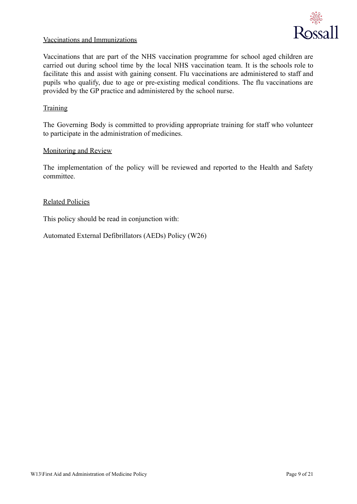

# Vaccinations and Immunizations

Vaccinations that are part of the NHS vaccination programme for school aged children are carried out during school time by the local NHS vaccination team. It is the schools role to facilitate this and assist with gaining consent. Flu vaccinations are administered to staff and pupils who qualify, due to age or pre-existing medical conditions. The flu vaccinations are provided by the GP practice and administered by the school nurse.

# **Training**

The Governing Body is committed to providing appropriate training for staff who volunteer to participate in the administration of medicines.

## Monitoring and Review

The implementation of the policy will be reviewed and reported to the Health and Safety committee.

## Related Policies

This policy should be read in conjunction with:

Automated External Defibrillators (AEDs) Policy (W26)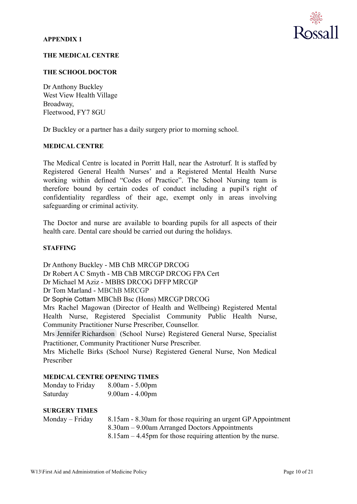

## **THE MEDICAL CENTRE**

## **THE SCHOOL DOCTOR**

Dr Anthony Buckley West View Health Village Broadway, Fleetwood, FY7 8GU

Dr Buckley or a partner has a daily surgery prior to morning school.

## **MEDICAL CENTRE**

The Medical Centre is located in Porritt Hall, near the Astroturf. It is staffed by Registered General Health Nurses' and a Registered Mental Health Nurse working within defined "Codes of Practice". The School Nursing team is therefore bound by certain codes of conduct including a pupil's right of confidentiality regardless of their age, exempt only in areas involving safeguarding or criminal activity.

The Doctor and nurse are available to boarding pupils for all aspects of their health care. Dental care should be carried out during the holidays.

## **STAFFING**

Dr Anthony Buckley - MB ChB MRCGP DRCOG Dr Robert A C Smyth - MB ChB MRCGP DRCOG FPA Cert Dr Michael M Aziz - MBBS DRCOG DFFP MRCGP Dr Tom Marland - MBChB MRCGP Dr Sophie Cottam MBChB Bsc (Hons) MRCGP DRCOG Mrs Rachel Magowan (Director of Health and Wellbeing) Registered Mental Health Nurse, Registered Specialist Community Public Health Nurse, Community Practitioner Nurse Prescriber, Counsellor. Mrs [Jennifer Richardson](mailto:j.richardson@rossall.org.uk) (School Nurse) Registered General Nurse, Specialist Practitioner, Community Practitioner Nurse Prescriber.

Mrs Michelle Birks (School Nurse) Registered General Nurse, Non Medical Prescriber

# **MEDICAL CENTRE OPENING TIMES**

| Monday to Friday | $8.00am - 5.00pm$     |
|------------------|-----------------------|
| Saturday         | $9.00$ am - $4.00$ pm |

# **SURGERY TIMES**

| $Monday - Friday$ | 8.15am - 8.30am for those requiring an urgent GP Appointment     |
|-------------------|------------------------------------------------------------------|
|                   | 8.30am – 9.00am Arranged Doctors Appointments                    |
|                   | $8.15$ am $-4.45$ pm for those requiring attention by the nurse. |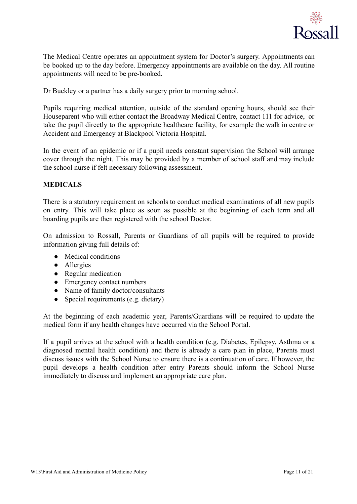

The Medical Centre operates an appointment system for Doctor's surgery. Appointments can be booked up to the day before. Emergency appointments are available on the day. All routine appointments will need to be pre-booked.

Dr Buckley or a partner has a daily surgery prior to morning school.

Pupils requiring medical attention, outside of the standard opening hours, should see their Houseparent who will either contact the Broadway Medical Centre, contact 111 for advice, or take the pupil directly to the appropriate healthcare facility, for example the walk in centre or Accident and Emergency at Blackpool Victoria Hospital.

In the event of an epidemic or if a pupil needs constant supervision the School will arrange cover through the night. This may be provided by a member of school staff and may include the school nurse if felt necessary following assessment.

# **MEDICALS**

There is a statutory requirement on schools to conduct medical examinations of all new pupils on entry. This will take place as soon as possible at the beginning of each term and all boarding pupils are then registered with the school Doctor.

On admission to Rossall, Parents or Guardians of all pupils will be required to provide information giving full details of:

- Medical conditions
- Allergies
- Regular medication
- Emergency contact numbers
- Name of family doctor/consultants
- Special requirements (e.g. dietary)

At the beginning of each academic year, Parents/Guardians will be required to update the medical form if any health changes have occurred via the School Portal.

If a pupil arrives at the school with a health condition (e.g. Diabetes, Epilepsy, Asthma or a diagnosed mental health condition) and there is already a care plan in place, Parents must discuss issues with the School Nurse to ensure there is a continuation of care. If however, the pupil develops a health condition after entry Parents should inform the School Nurse immediately to discuss and implement an appropriate care plan.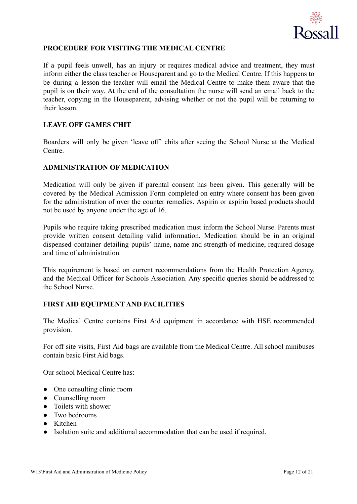

# **PROCEDURE FOR VISITING THE MEDICAL CENTRE**

If a pupil feels unwell, has an injury or requires medical advice and treatment, they must inform either the class teacher or Houseparent and go to the Medical Centre. If this happens to be during a lesson the teacher will email the Medical Centre to make them aware that the pupil is on their way. At the end of the consultation the nurse will send an email back to the teacher, copying in the Houseparent, advising whether or not the pupil will be returning to their lesson.

# **LEAVE OFF GAMES CHIT**

Boarders will only be given 'leave off' chits after seeing the School Nurse at the Medical Centre.

# **ADMINISTRATION OF MEDICATION**

Medication will only be given if parental consent has been given. This generally will be covered by the Medical Admission Form completed on entry where consent has been given for the administration of over the counter remedies. Aspirin or aspirin based products should not be used by anyone under the age of 16.

Pupils who require taking prescribed medication must inform the School Nurse. Parents must provide written consent detailing valid information. Medication should be in an original dispensed container detailing pupils' name, name and strength of medicine, required dosage and time of administration.

This requirement is based on current recommendations from the Health Protection Agency, and the Medical Officer for Schools Association. Any specific queries should be addressed to the School Nurse.

# **FIRST AID EQUIPMENT AND FACILITIES**

The Medical Centre contains First Aid equipment in accordance with HSE recommended provision.

For off site visits, First Aid bags are available from the Medical Centre. All school minibuses contain basic First Aid bags.

Our school Medical Centre has:

- One consulting clinic room
- Counselling room
- Toilets with shower
- Two bedrooms
- Kitchen
- Isolation suite and additional accommodation that can be used if required.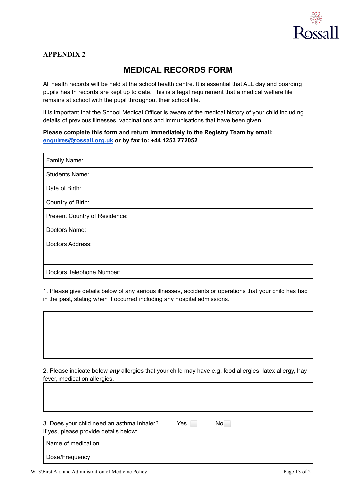

# **MEDICAL RECORDS FORM**

All health records will be held at the school health centre. It is essential that ALL day and boarding pupils health records are kept up to date. This is a legal requirement that a medical welfare file remains at school with the pupil throughout their school life.

It is important that the School Medical Officer is aware of the medical history of your child including details of previous illnesses, vaccinations and immunisations that have been given.

## **Please complete this form and return immediately to the Registry Team by email: [enquires@rossall.org.uk](mailto:enquires@rossall.org.uk) or by fax to: +44 1253 772052**

| Family Name:                  |  |
|-------------------------------|--|
| <b>Students Name:</b>         |  |
| Date of Birth:                |  |
| Country of Birth:             |  |
| Present Country of Residence: |  |
| Doctors Name:                 |  |
| Doctors Address:              |  |
|                               |  |
| Doctors Telephone Number:     |  |

1. Please give details below of any serious illnesses, accidents or operations that your child has had in the past, stating when it occurred including any hospital admissions.

2. Please indicate below *any* allergies that your child may have e.g. food allergies, latex allergy, hay fever, medication allergies.

| 3. Does your child need an asthma inhaler?<br>If yes, please provide details below: |                    | Yes | No. |
|-------------------------------------------------------------------------------------|--------------------|-----|-----|
|                                                                                     | Name of medication |     |     |
|                                                                                     | Dose/Frequency     |     |     |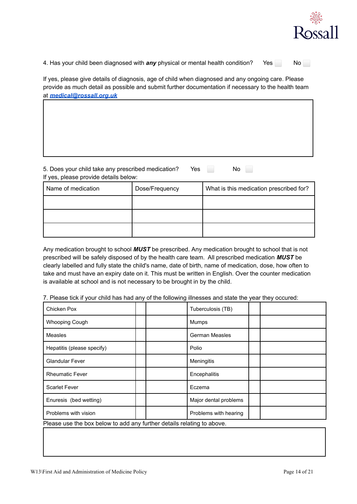

4. Has your child been diagnosed with *any* physical or mental health condition? Yes No

If yes, please give details of diagnosis, age of child when diagnosed and any ongoing care. Please provide as much detail as possible and submit further documentation if necessary to the health team at *[medical@rossall.org.uk](mailto:medical@rossall.org.uk)*

| 5. Does your child take any prescribed medication?<br>If yes, please provide details below: | Yes            | No                                      |
|---------------------------------------------------------------------------------------------|----------------|-----------------------------------------|
| Name of medication                                                                          | Dose/Frequency | What is this medication prescribed for? |
|                                                                                             |                |                                         |
|                                                                                             |                |                                         |

Any medication brought to school *MUST* be prescribed. Any medication brought to school that is not prescribed will be safely disposed of by the health care team. All prescribed medication *MUST* be clearly labelled and fully state the child's name, date of birth, name of medication, dose, how often to take and must have an expiry date on it. This must be written in English. Over the counter medication is available at school and is not necessary to be brought in by the child.

7. Please tick if your child has had any of the following illnesses and state the year they occured:

| Chicken Pox                                                            | Tuberculosis (TB)     |  |  |  |
|------------------------------------------------------------------------|-----------------------|--|--|--|
| <b>Whooping Cough</b>                                                  | Mumps                 |  |  |  |
| Measles                                                                | German Measles        |  |  |  |
| Hepatitis (please specify)                                             | Polio                 |  |  |  |
| <b>Glandular Fever</b>                                                 | Meningitis            |  |  |  |
| <b>Rheumatic Fever</b>                                                 | Encephalitis          |  |  |  |
| <b>Scarlet Fever</b>                                                   | Eczema                |  |  |  |
| Enuresis (bed wetting)                                                 | Major dental problems |  |  |  |
| Problems with vision                                                   | Problems with hearing |  |  |  |
| Please use the box below to add any further details relating to above. |                       |  |  |  |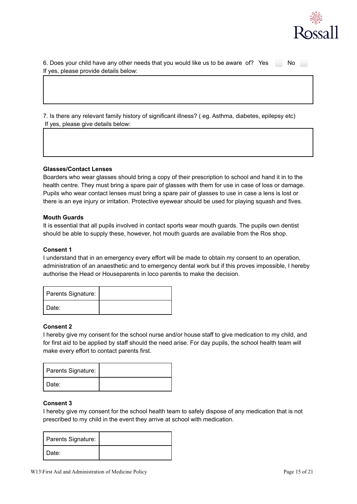

6. Does your child have any other needs that you would like us to be aware of? Yes No If yes, please provide details below:

7. Is there any relevant family history of significant illness? ( eg. Asthma, diabetes, epilepsy etc) If yes, please give details below:

#### **Glasses/Contact Lenses**

Boarders who wear glasses should bring a copy of their prescription to school and hand it in to the health centre. They must bring a spare pair of glasses with them for use in case of loss or damage. Pupils who wear contact lenses must bring a spare pair of glasses to use in case a lens is lost or there is an eye injury or irritation. Protective eyewear should be used for playing squash and fives.

#### **Mouth Guards**

It is essential that all pupils involved in contact sports wear mouth guards. The pupils own dentist should be able to supply these, however, hot mouth guards are available from the Ros shop.

#### **Consent 1**

I understand that in an emergency every effort will be made to obtain my consent to an operation, administration of an anaesthetic and to emergency dental work but if this proves impossible, I hereby authorise the Head or Houseparents in loco parentis to make the decision.

| Parents Signature: |  |
|--------------------|--|
| Date:              |  |

#### **Consent 2**

I hereby give my consent for the school nurse and/or house staff to give medication to my child, and for first aid to be applied by staff should the need arise. For day pupils, the school health team will make every effort to contact parents first.

| Parents Signature: |  |
|--------------------|--|
| Date:              |  |

## **Consent 3**

I hereby give my consent for the school health team to safely dispose of any medication that is not prescribed to my child in the event they arrive at school with medication.

| Parents Signature: |  |
|--------------------|--|
| Date:              |  |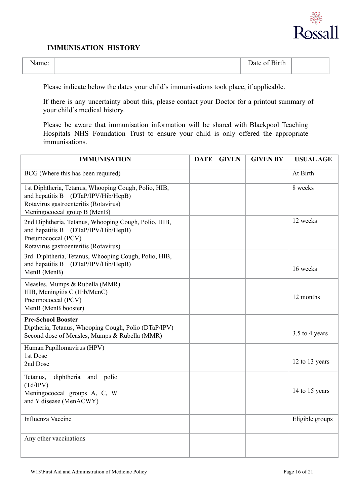

# **IMMUNISATION HISTORY**

| -<br>ame: | $\mathbf{\bar{r}}$<br>Date of Birth |  |
|-----------|-------------------------------------|--|
|           |                                     |  |

Please indicate below the dates your child's immunisations took place, if applicable.

If there is any uncertainty about this, please contact your Doctor for a printout summary of your child's medical history.

Please be aware that immunisation information will be shared with Blackpool Teaching Hospitals NHS Foundation Trust to ensure your child is only offered the appropriate immunisations.

| <b>IMMUNISATION</b>                                                                                                                                                  | <b>DATE</b> | <b>GIVEN</b> | <b>GIVEN BY</b> | <b>USUAL AGE</b> |
|----------------------------------------------------------------------------------------------------------------------------------------------------------------------|-------------|--------------|-----------------|------------------|
| BCG (Where this has been required)                                                                                                                                   |             |              |                 | At Birth         |
| 1st Diphtheria, Tetanus, Whooping Cough, Polio, HIB,<br>and hepatitis B (DTaP/IPV/Hib/HepB)<br>Rotavirus gastroenteritis (Rotavirus)<br>Meningococcal group B (MenB) |             |              |                 | 8 weeks          |
| 2nd Diphtheria, Tetanus, Whooping Cough, Polio, HIB,<br>and hepatitis B (DTaP/IPV/Hib/HepB)<br>Pneumococcal (PCV)<br>Rotavirus gastroenteritis (Rotavirus)           |             |              |                 | 12 weeks         |
| 3rd Diphtheria, Tetanus, Whooping Cough, Polio, HIB,<br>and hepatitis B<br>(DTaP/IPV/Hib/HepB)<br>MenB (MenB)                                                        |             |              |                 | 16 weeks         |
| Measles, Mumps & Rubella (MMR)<br>HIB, Meningitis C (Hib/MenC)<br>Pneumococcal (PCV)<br>MenB (MenB booster)                                                          |             |              |                 | 12 months        |
| <b>Pre-School Booster</b><br>Diptheria, Tetanus, Whooping Cough, Polio (DTaP/IPV)<br>Second dose of Measles, Mumps & Rubella (MMR)                                   |             |              |                 | 3.5 to 4 years   |
| Human Papillomavirus (HPV)<br>1st Dose<br>2nd Dose                                                                                                                   |             |              |                 | 12 to 13 years   |
| Tetanus,<br>diphtheria<br>polio<br>and<br>(Td/IPV)<br>Meningococcal groups A, C, W<br>and Y disease (MenACWY)                                                        |             |              |                 | 14 to 15 years   |
| <b>Influenza Vaccine</b>                                                                                                                                             |             |              |                 | Eligible groups  |
| Any other vaccinations                                                                                                                                               |             |              |                 |                  |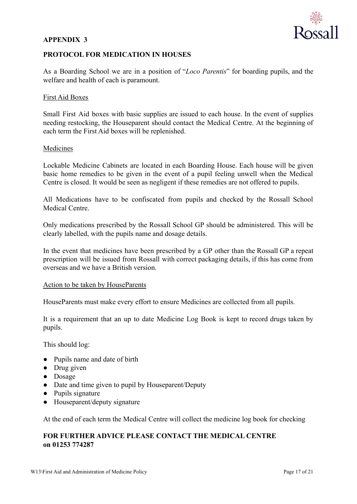

# **PROTOCOL FOR MEDICATION IN HOUSES**

As a Boarding School we are in a position of "*Loco Parentis*" for boarding pupils, and the welfare and health of each is paramount.

## First Aid Boxes

Small First Aid boxes with basic supplies are issued to each house. In the event of supplies needing restocking, the Houseparent should contact the Medical Centre. At the beginning of each term the First Aid boxes will be replenished.

# Medicines

Lockable Medicine Cabinets are located in each Boarding House. Each house will be given basic home remedies to be given in the event of a pupil feeling unwell when the Medical Centre is closed. It would be seen as negligent if these remedies are not offered to pupils.

All Medications have to be confiscated from pupils and checked by the Rossall School Medical Centre.

Only medications prescribed by the Rossall School GP should be administered. This will be clearly labelled, with the pupils name and dosage details.

In the event that medicines have been prescribed by a GP other than the Rossall GP a repeat prescription will be issued from Rossall with correct packaging details, if this has come from overseas and we have a British version.

## Action to be taken by HouseParents

HouseParents must make every effort to ensure Medicines are collected from all pupils.

It is a requirement that an up to date Medicine Log Book is kept to record drugs taken by pupils.

This should log:

- Pupils name and date of birth
- Drug given
- Dosage
- Date and time given to pupil by Houseparent/Deputy
- Pupils signature
- Houseparent/deputy signature

At the end of each term the Medical Centre will collect the medicine log book for checking

# **FOR FURTHER ADVICE PLEASE CONTACT THE MEDICAL CENTRE on 01253 774287**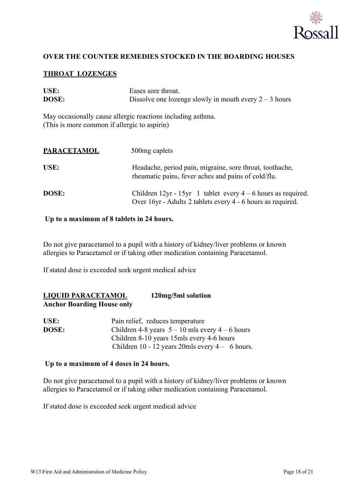

# **OVER THE COUNTER REMEDIES STOCKED IN THE BOARDING HOUSES**

# **THROAT LOZENGES**

| USE:<br>DOSE:                                | Eases sore throat.<br>Dissolve one lozenge slowly in mouth every $2 - 3$ hours                                                |
|----------------------------------------------|-------------------------------------------------------------------------------------------------------------------------------|
| (This is more common if allergic to aspirin) | May occasionally cause allergic reactions including asthma.                                                                   |
| <b>PARACETAMOL</b>                           | 500 mg caplets                                                                                                                |
| USE:                                         | Headache, period pain, migraine, sore throat, toothache,<br>rheumatic pains, fever aches and pains of cold/flu.               |
| DOSE:                                        | Children 12yr - 15yr 1 tablet every $4 - 6$ hours as required.<br>Over 16yr - Adults 2 tablets every 4 - 6 hours as required. |

## **Up to a maximum of 8 tablets in 24 hours.**

Do not give paracetamol to a pupil with a history of kidney/liver problems or known allergies to Paracetamol or if taking other medication containing Paracetamol.

If stated dose is exceeded seek urgent medical advice

# **LIQUID PARACETAMOL 120mg/5ml solution Anchor Boarding House only**

| USE:         | Pain relief, reduces temperature                    |
|--------------|-----------------------------------------------------|
| <b>DOSE:</b> | Children 4-8 years $5 - 10$ mls every $4 - 6$ hours |
|              | Children 8-10 years 15mls every 4-6 hours           |
|              | Children 10 - 12 years 20mls every $4 - 6$ hours.   |

## **Up to a maximum of 4 doses in 24 hours.**

Do not give paracetamol to a pupil with a history of kidney/liver problems or known allergies to Paracetamol or if taking other medication containing Paracetamol.

If stated dose is exceeded seek urgent medical advice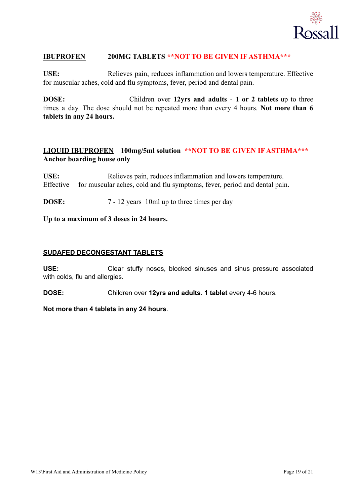

# **IBUPROFEN 200MG TABLETS \*\*NOT TO BE GIVEN IF ASTHMA\*\*\***

**USE:** Relieves pain, reduces inflammation and lowers temperature. Effective for muscular aches, cold and flu symptoms, fever, period and dental pain.

**DOSE:** Children over **12yrs and adults** - **1 or 2 tablets** up to three times a day. The dose should not be repeated more than every 4 hours. **Not more than 6 tablets in any 24 hours.**

# **LIQUID IBUPROFEN 100mg/5ml solution \*\*NOT TO BE GIVEN IF ASTHMA\*\*\* Anchor boarding house only**

USE: Relieves pain, reduces inflammation and lowers temperature. Effective for muscular aches, cold and flu symptoms, fever, period and dental pain.

**DOSE:** 7 - 12 years 10ml up to three times per day

**Up to a maximum of 3 doses in 24 hours.**

# **SUDAFED DECONGESTANT TABLETS**

**USE:** Clear stuffy noses, blocked sinuses and sinus pressure associated with colds, flu and allergies.

**DOSE:** Children over **12yrs and adults**. **1 tablet** every 4-6 hours.

**Not more than 4 tablets in any 24 hours**.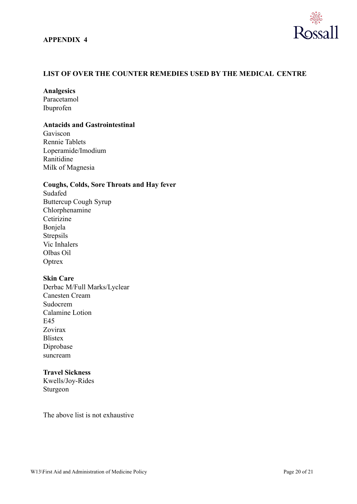

# **LIST OF OVER THE COUNTER REMEDIES USED BY THE MEDICAL CENTRE**

## **Analgesics**

Paracetamol Ibuprofen

# **Antacids and Gastrointestinal**

Gaviscon Rennie Tablets Loperamide/Imodium Ranitidine Milk of Magnesia

## **Coughs, Colds, Sore Throats and Hay fever**

Sudafed Buttercup Cough Syrup Chlorphenamine Cetirizine Bonjela Strepsils Vic Inhalers Olbas Oil **Optrex** 

## **Skin Care**

Derbac M/Full Marks/Lyclear Canesten Cream Sudocrem Calamine Lotion E45 Zovirax **Blistex** Diprobase suncream

# **Travel Sickness**

Kwells/Joy-Rides Sturgeon

The above list is not exhaustive